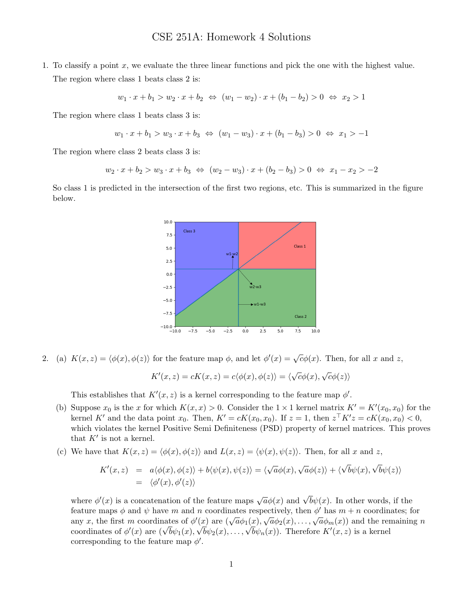1. To classify a point  $x$ , we evaluate the three linear functions and pick the one with the highest value. The region where class 1 beats class 2 is:

$$
w_1 \cdot x + b_1 > w_2 \cdot x + b_2 \Leftrightarrow (w_1 - w_2) \cdot x + (b_1 - b_2) > 0 \Leftrightarrow x_2 > 1
$$

The region where class 1 beats class 3 is:

$$
w_1 \cdot x + b_1 > w_3 \cdot x + b_3 \Leftrightarrow (w_1 - w_3) \cdot x + (b_1 - b_3) > 0 \Leftrightarrow x_1 > -1
$$

The region where class 2 beats class 3 is:

$$
w_2 \cdot x + b_2 > w_3 \cdot x + b_3 \Leftrightarrow (w_2 - w_3) \cdot x + (b_2 - b_3) > 0 \Leftrightarrow x_1 - x_2 > -2
$$

So class 1 is predicted in the intersection of the first two regions, etc. This is summarized in the figure below.



2. (a)  $K(x, z) = \langle \phi(x), \phi(z) \rangle$  for the feature map  $\phi$ , and let  $\phi'(x) = \sqrt{c}\phi(x)$ . Then, for all x and z,

$$
K'(x, z) = cK(x, z) = c\langle \phi(x), \phi(z) \rangle = \langle \sqrt{c}\phi(x), \sqrt{c}\phi(z) \rangle
$$

This establishes that  $K'(x, z)$  is a kernel corresponding to the feature map  $\phi'$ .

- (b) Suppose  $x_0$  is the x for which  $K(x, x) > 0$ . Consider the  $1 \times 1$  kernel matrix  $K' = K'(x_0, x_0)$  for the kernel K' and the data point  $x_0$ . Then,  $K' = cK(x_0, x_0)$ . If  $z = 1$ , then  $z^\top K' z = cK(x_0, x_0) < 0$ , which violates the kernel Positive Semi Definiteness (PSD) property of kernel matrices. This proves that  $K'$  is not a kernel.
- (c) We have that  $K(x, z) = \langle \phi(x), \phi(z) \rangle$  and  $L(x, z) = \langle \psi(x), \psi(z) \rangle$ . Then, for all x and z,

$$
K'(x, z) = a\langle \phi(x), \phi(z) \rangle + b\langle \psi(x), \psi(z) \rangle = \langle \sqrt{a}\phi(x), \sqrt{a}\phi(z) \rangle + \langle \sqrt{b}\psi(x), \sqrt{b}\psi(z) \rangle
$$
  
=  $\langle \phi'(x), \phi'(z) \rangle$ 

where  $\phi'(x)$  is a concatenation of the feature maps  $\sqrt{a}\phi(x)$  and  $\sqrt{b}\psi(x)$ . In other words, if the feature maps  $\phi$  and  $\psi$  have m and n coordinates respectively, then  $\phi'$  has  $m + n$  coordinates; for eature maps  $\varphi$  and  $\psi$  have m and n coordinates respectively, then  $\varphi$  has  $m+n$  coordinates, for any x, the first m coordinates of  $\phi'(x)$  are  $(\sqrt{a}\phi_1(x), \sqrt{a}\phi_2(x), \ldots, \sqrt{a}\phi_m(x))$  and the remaining n any x, the first m coordinates of  $\phi'(x)$  are  $(\sqrt{a}\phi_1(x), \sqrt{a}\phi_2(x), \ldots, \sqrt{a}\phi_m(x))$  and the reformates of  $\phi'(x)$  are  $(\sqrt{b}\psi_1(x), \sqrt{b}\psi_2(x), \ldots, \sqrt{b}\psi_n(x))$ . Therefore  $K'(x, z)$  is a kernel corresponding to the feature map  $\phi'$ .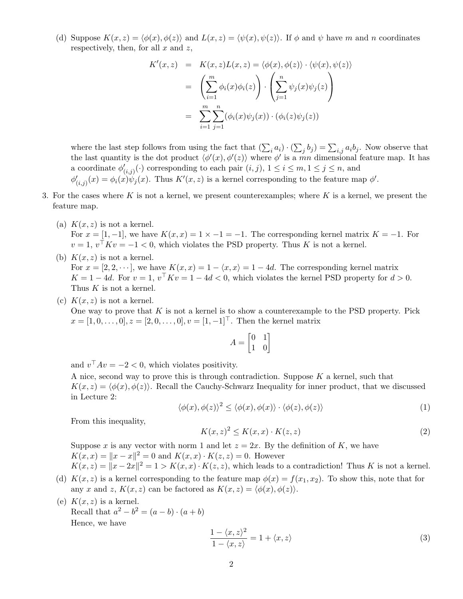(d) Suppose  $K(x, z) = \langle \phi(x), \phi(z) \rangle$  and  $L(x, z) = \langle \psi(x), \psi(z) \rangle$ . If  $\phi$  and  $\psi$  have m and n coordinates respectively, then, for all  $x$  and  $z$ ,

$$
K'(x, z) = K(x, z)L(x, z) = \langle \phi(x), \phi(z) \rangle \cdot \langle \psi(x), \psi(z) \rangle
$$
  

$$
= \left( \sum_{i=1}^{m} \phi_i(x)\phi_i(z) \right) \cdot \left( \sum_{j=1}^{n} \psi_j(x)\psi_j(z) \right)
$$
  

$$
= \sum_{i=1}^{m} \sum_{j=1}^{n} (\phi_i(x)\psi_j(x)) \cdot (\phi_i(z)\psi_j(z))
$$

where the last step follows from using the fact that  $(\sum_i a_i) \cdot (\sum_j b_j) = \sum_{i,j} a_i b_j$ . Now observe that the last quantity is the dot product  $\langle \phi'(x), \phi'(z) \rangle$  where  $\phi'$  is a mn dimensional feature map. It has a coordinate  $\phi'_{(i,j)}(\cdot)$  corresponding to each pair  $(i, j)$ ,  $1 \leq i \leq m, 1 \leq j \leq n$ , and  $\phi'_{(i,j)}(x) = \phi_i(x)\psi_j(x)$ . Thus  $K'(x, z)$  is a kernel corresponding to the feature map  $\phi'$ .

- 3. For the cases where K is not a kernel, we present counterexamples; where K is a kernel, we present the feature map.
	- (a)  $K(x, z)$  is not a kernel.

For  $x = [1, -1]$ , we have  $K(x, x) = 1 \times -1 = -1$ . The corresponding kernel matrix  $K = -1$ . For  $v = 1, v^{\top} K v = -1 < 0$ , which violates the PSD property. Thus K is not a kernel.

- (b)  $K(x, z)$  is not a kernel. For  $x = [2, 2, \dots]$ , we have  $K(x, x) = 1 - \langle x, x \rangle = 1 - 4d$ . The corresponding kernel matrix  $K = 1 - 4d$ . For  $v = 1, v^{\top} K v = 1 - 4d < 0$ , which violates the kernel PSD property for  $d > 0$ . Thus  $K$  is not a kernel.
- (c)  $K(x, z)$  is not a kernel.

One way to prove that  $K$  is not a kernel is to show a counterexample to the PSD property. Pick  $x = [1, 0, \ldots, 0], z = [2, 0, \ldots, 0], v = [1, -1]^\top$ . Then the kernel matrix

$$
A = \begin{bmatrix} 0 & 1 \\ 1 & 0 \end{bmatrix}
$$

and  $v^{\top}Av = -2 < 0$ , which violates positivity.

A nice, second way to prove this is through contradiction. Suppose  $K$  a kernel, such that  $K(x, z) = \langle \phi(x), \phi(z) \rangle$ . Recall the Cauchy-Schwarz Inequality for inner product, that we discussed in Lecture 2:

$$
\langle \phi(x), \phi(z) \rangle^2 \le \langle \phi(x), \phi(x) \rangle \cdot \langle \phi(z), \phi(z) \rangle \tag{1}
$$

From this inequality,

$$
K(x,z)^2 \le K(x,x) \cdot K(z,z) \tag{2}
$$

Suppose x is any vector with norm 1 and let  $z = 2x$ . By the definition of K, we have  $K(x, x) = ||x - x||^2 = 0$  and  $K(x, x) \cdot K(z, z) = 0$ . However  $K(x, z) = ||x - 2x||^2 = 1 > K(x, x) \cdot K(z, z)$ , which leads to a contradiction! Thus K is not a kernel.

- (d)  $K(x, z)$  is a kernel corresponding to the feature map  $\phi(x) = f(x_1, x_2)$ . To show this, note that for any x and z,  $K(x, z)$  can be factored as  $K(x, z) = \langle \phi(x), \phi(z) \rangle$ .
- (e)  $K(x, z)$  is a kernel. Recall that  $a^2 - b^2 = (a - b) \cdot (a + b)$ Hence, we have

$$
\frac{1 - \langle x, z \rangle^2}{1 - \langle x, z \rangle} = 1 + \langle x, z \rangle \tag{3}
$$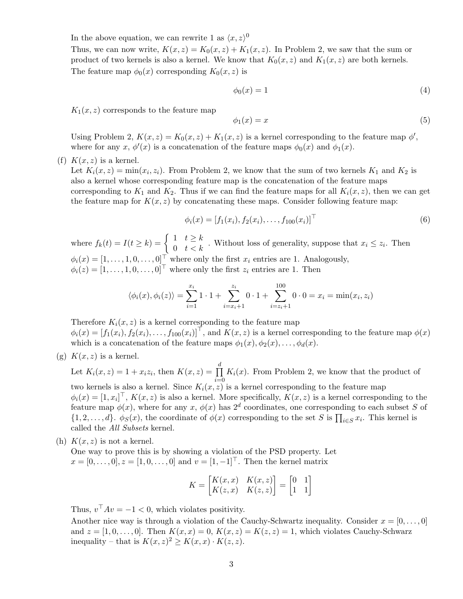In the above equation, we can rewrite 1 as  $\langle x, z \rangle^0$ 

Thus, we can now write,  $K(x, z) = K_0(x, z) + K_1(x, z)$ . In Problem 2, we saw that the sum or product of two kernels is also a kernel. We know that  $K_0(x, z)$  and  $K_1(x, z)$  are both kernels. The feature map  $\phi_0(x)$  corresponding  $K_0(x, z)$  is

$$
\phi_0(x) = 1\tag{4}
$$

 $K_1(x, z)$  corresponds to the feature map

$$
\phi_1(x) = x \tag{5}
$$

Using Problem 2,  $K(x, z) = K_0(x, z) + K_1(x, z)$  is a kernel corresponding to the feature map  $\phi'$ , where for any  $x, \phi'(x)$  is a concatenation of the feature maps  $\phi_0(x)$  and  $\phi_1(x)$ .

(f)  $K(x, z)$  is a kernel.

Let  $K_i(x, z) = \min(x_i, z_i)$ . From Problem 2, we know that the sum of two kernels  $K_1$  and  $K_2$  is also a kernel whose corresponding feature map is the concatenation of the feature maps corresponding to  $K_1$  and  $K_2$ . Thus if we can find the feature maps for all  $K_i(x, z)$ , then we can get the feature map for  $K(x, z)$  by concatenating these maps. Consider following feature map:

$$
\phi_i(x) = [f_1(x_i), f_2(x_i), \dots, f_{100}(x_i)]^\top
$$
\n(6)

where  $f_k(t) = I(t \ge k) = \begin{cases} 1 & t \ge k \\ 0 & t < k \end{cases}$ . Without loss of generality, suppose that  $x_i \le z_i$ . Then  $\phi_i(x) = [1, \ldots, 1, 0, \ldots, 0]^\top$  where only the first  $x_i$  entries are 1. Analogously,  $\phi_i(z) = [1, \ldots, 1, 0, \ldots, 0]^\top$  where only the first  $z_i$  entries are 1. Then

$$
\langle \phi_i(x), \phi_i(z) \rangle = \sum_{i=1}^{x_i} 1 \cdot 1 + \sum_{i=x_i+1}^{z_i} 0 \cdot 1 + \sum_{i=z_i+1}^{100} 0 \cdot 0 = x_i = \min(x_i, z_i)
$$

Therefore  $K_i(x, z)$  is a kernel corresponding to the feature map  $\phi_i(x) = [f_1(x_i), f_2(x_i), \dots, f_{100}(x_i)]^\top$ , and  $K(x, z)$  is a kernel corresponding to the feature map  $\phi(x)$ which is a concatenation of the feature maps  $\phi_1(x), \phi_2(x), \ldots, \phi_d(x)$ .

(g)  $K(x, z)$  is a kernel.

Let  $K_i(x, z) = 1 + x_i z_i$ , then  $K(x, z) = \prod_{i=1}^{d}$  $i=0$  $K_i(x)$ . From Problem 2, we know that the product of two kernels is also a kernel. Since  $K_i(x, z)$  is a kernel corresponding to the feature map  $\phi_i(x) = [1, x_i]^\top$ ,  $K(x, z)$  is also a kernel. More specifically,  $K(x, z)$  is a kernel corresponding to the

feature map  $\phi(x)$ , where for any  $x, \phi(x)$  has  $2^d$  coordinates, one corresponding to each subset S of  $\{1, 2, \ldots, d\}$ .  $\phi_S(x)$ , the coordinate of  $\phi(x)$  corresponding to the set S is  $\prod_{i \in S} x_i$ . This kernel is called the All Subsets kernel.

(h)  $K(x, z)$  is not a kernel.

One way to prove this is by showing a violation of the PSD property. Let  $x = [0, \ldots, 0], z = [1, 0, \ldots, 0]$  and  $v = [1, -1]^\top$ . Then the kernel matrix

$$
K = \begin{bmatrix} K(x,x) & K(x,z) \\ K(z,x) & K(z,z) \end{bmatrix} = \begin{bmatrix} 0 & 1 \\ 1 & 1 \end{bmatrix}
$$

Thus,  $v^{\top}Av = -1 < 0$ , which violates positivity.

Another nice way is through a violation of the Cauchy-Schwartz inequality. Consider  $x = [0, \ldots, 0]$ and  $z = [1, 0, \ldots, 0]$ . Then  $K(x, x) = 0$ ,  $K(x, z) = K(z, z) = 1$ , which violates Cauchy-Schwarz inequality – that is  $K(x, z)^2 \geq K(x, x) \cdot K(z, z)$ .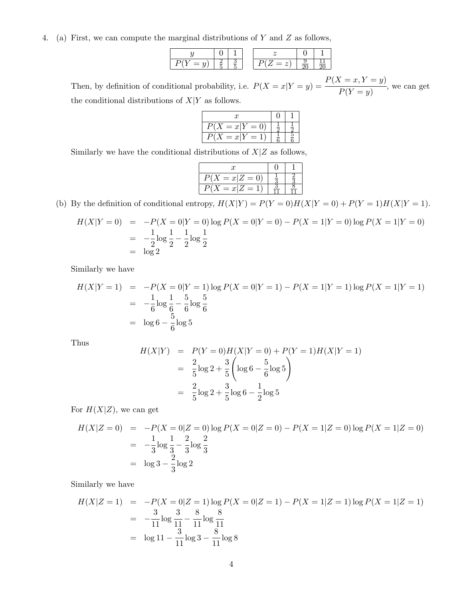4. (a) First, we can compute the marginal distributions of Y and Z as follows,

Then, by definition of conditional probability, i.e.  $P(X = x|Y = y)$  $P(X=x, Y=y)$  $\frac{y}{P(Y = y)}$ , we can get the conditional distributions of  $X|Y$  as follows.

| $= 0$<br>P(<br>$= x Y$               |  |
|--------------------------------------|--|
| $= x Y$<br>$\boldsymbol{\mu}$<br>$=$ |  |

Similarly we have the conditional distributions of  $X|Z$  as follows,

| $x Z=0$   |  |
|-----------|--|
| $= x Z =$ |  |

(b) By the definition of conditional entropy,  $H(X|Y) = P(Y=0)H(X|Y=0) + P(Y=1)H(X|Y=1)$ .

$$
H(X|Y=0) = -P(X=0|Y=0) \log P(X=0|Y=0) - P(X=1|Y=0) \log P(X=1|Y=0)
$$
  
=  $-\frac{1}{2} \log \frac{1}{2} - \frac{1}{2} \log \frac{1}{2}$   
=  $\log 2$ 

Similarly we have

$$
H(X|Y=1) = -P(X=0|Y=1)\log P(X=0|Y=1) - P(X=1|Y=1)\log P(X=1|Y=1)
$$
  
=  $-\frac{1}{6}\log\frac{1}{6} - \frac{5}{6}\log\frac{5}{6}$   
=  $\log 6 - \frac{5}{6}\log 5$ 

Thus

$$
H(X|Y) = P(Y=0)H(X|Y=0) + P(Y=1)H(X|Y=1)
$$
  
=  $\frac{2}{5}\log 2 + \frac{3}{5}\left(\log 6 - \frac{5}{6}\log 5\right)$   
=  $\frac{2}{5}\log 2 + \frac{3}{5}\log 6 - \frac{1}{2}\log 5$ 

For  $H(X|Z)$ , we can get

$$
H(X|Z=0) = -P(X=0|Z=0) \log P(X=0|Z=0) - P(X=1|Z=0) \log P(X=1|Z=0)
$$
  
=  $-\frac{1}{3} \log \frac{1}{3} - \frac{2}{3} \log \frac{2}{3}$   
=  $\log 3 - \frac{2}{3} \log 2$ 

Similarly we have

$$
H(X|Z=1) = -P(X=0|Z=1)\log P(X=0|Z=1) - P(X=1|Z=1)\log P(X=1|Z=1)
$$
  
=  $-\frac{3}{11}\log\frac{3}{11} - \frac{8}{11}\log\frac{8}{11}$   
=  $\log 11 - \frac{3}{11}\log 3 - \frac{8}{11}\log 8$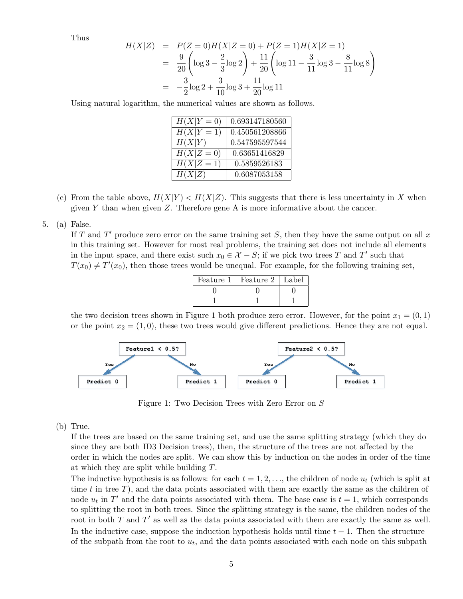Thus

$$
H(X|Z) = P(Z=0)H(X|Z=0) + P(Z=1)H(X|Z=1)
$$
  
=  $\frac{9}{20} \left( \log 3 - \frac{2}{3} \log 2 \right) + \frac{11}{20} \left( \log 11 - \frac{3}{11} \log 3 - \frac{8}{11} \log 8 \right)$   
=  $-\frac{3}{2} \log 2 + \frac{3}{10} \log 3 + \frac{11}{20} \log 11$ 

Using natural logarithm, the numerical values are shown as follows.

| $H(X Y=0)$ | 0.693147180560 |
|------------|----------------|
| $H(X Y=1)$ | 0.450561208866 |
| H(X Y)     | 0.547595597544 |
| $H(X Z=0)$ | 0.63651416829  |
| $H(X Z=1)$ | 0.5859526183   |
| H(X Z)     | 0.6087053158   |

(c) From the table above,  $H(X|Y) < H(X|Z)$ . This suggests that there is less uncertainty in X when given  $Y$  than when given  $Z$ . Therefore gene  $A$  is more informative about the cancer.

5. (a) False.

If T and T' produce zero error on the same training set S, then they have the same output on all x in this training set. However for most real problems, the training set does not include all elements in the input space, and there exist such  $x_0 \in \mathcal{X} - S$ ; if we pick two trees T and T' such that  $T(x_0) \neq T'(x_0)$ , then those trees would be unequal. For example, for the following training set,

| Feature 1 | Feature 2 | Label |
|-----------|-----------|-------|
|           |           |       |
|           |           |       |

the two decision trees shown in Figure 1 both produce zero error. However, for the point  $x_1 = (0, 1)$ or the point  $x_2 = (1, 0)$ , these two trees would give different predictions. Hence they are not equal.



Figure 1: Two Decision Trees with Zero Error on S

(b) True.

If the trees are based on the same training set, and use the same splitting strategy (which they do since they are both ID3 Decision trees), then, the structure of the trees are not affected by the order in which the nodes are split. We can show this by induction on the nodes in order of the time at which they are split while building T.

The inductive hypothesis is as follows: for each  $t = 1, 2, \ldots$ , the children of node  $u_t$  (which is split at time t in tree  $T$ ), and the data points associated with them are exactly the same as the children of node  $u_t$  in T' and the data points associated with them. The base case is  $t = 1$ , which corresponds to splitting the root in both trees. Since the splitting strategy is the same, the children nodes of the root in both  $T$  and  $T'$  as well as the data points associated with them are exactly the same as well. In the inductive case, suppose the induction hypothesis holds until time  $t - 1$ . Then the structure of the subpath from the root to  $u_t$ , and the data points associated with each node on this subpath